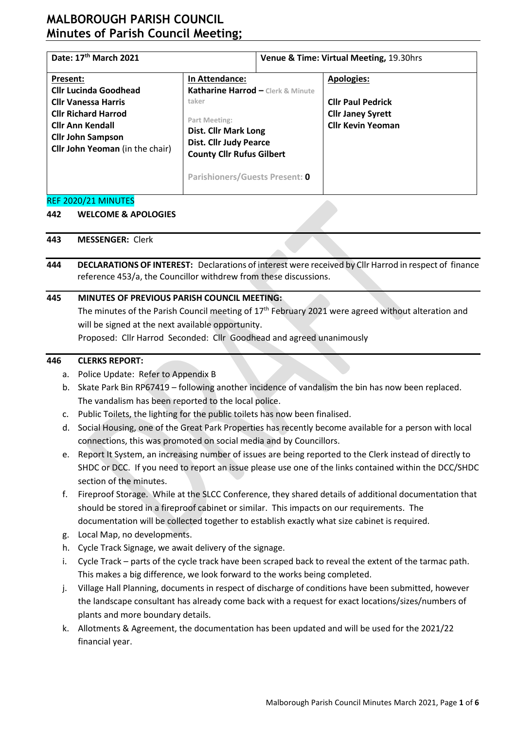# **MALBOROUGH PARISH COUNCIL Minutes of Parish Council Meeting;**

| Date: 17th March 2021                                                                                                                                                                                 |                                                                                                                                                                                                                            | Venue & Time: Virtual Meeting, 19.30hrs |                                                                                                       |  |  |
|-------------------------------------------------------------------------------------------------------------------------------------------------------------------------------------------------------|----------------------------------------------------------------------------------------------------------------------------------------------------------------------------------------------------------------------------|-----------------------------------------|-------------------------------------------------------------------------------------------------------|--|--|
| Present:<br><b>Cllr Lucinda Goodhead</b><br><b>Cllr Vanessa Harris</b><br><b>Cllr Richard Harrod</b><br><b>Cllr Ann Kendall</b><br><b>Cllr John Sampson</b><br><b>Cllr John Yeoman</b> (in the chair) | In Attendance:<br>Katharine Harrod - Clerk & Minute<br>taker<br>Part Meeting:<br><b>Dist. Cllr Mark Long</b><br><b>Dist. Cllr Judy Pearce</b><br><b>County Cllr Rufus Gilbert</b><br><b>Parishioners/Guests Present: 0</b> |                                         | <b>Apologies:</b><br><b>Cllr Paul Pedrick</b><br><b>Cllr Janey Syrett</b><br><b>Cllr Kevin Yeoman</b> |  |  |

#### REF 2020/21 MINUTES

#### **442 WELCOME & APOLOGIES**

- **443 MESSENGER:** Clerk
- **444 DECLARATIONS OF INTEREST:** Declarations of interest were received by Cllr Harrod in respect of finance reference 453/a, the Councillor withdrew from these discussions.

### **445 MINUTES OF PREVIOUS PARISH COUNCIL MEETING:**

The minutes of the Parish Council meeting of 17<sup>th</sup> February 2021 were agreed without alteration and will be signed at the next available opportunity.

Proposed: Cllr Harrod Seconded: Cllr Goodhead and agreed unanimously

## **446 CLERKS REPORT:**

- a. Police Update: Refer to Appendix B
- b. Skate Park Bin RP67419 following another incidence of vandalism the bin has now been replaced. The vandalism has been reported to the local police.
- c. Public Toilets, the lighting for the public toilets has now been finalised.
- d. Social Housing, one of the Great Park Properties has recently become available for a person with local connections, this was promoted on social media and by Councillors.
- e. Report It System, an increasing number of issues are being reported to the Clerk instead of directly to SHDC or DCC. If you need to report an issue please use one of the links contained within the DCC/SHDC section of the minutes.
- f. Fireproof Storage. While at the SLCC Conference, they shared details of additional documentation that should be stored in a fireproof cabinet or similar. This impacts on our requirements. The documentation will be collected together to establish exactly what size cabinet is required.
- g. Local Map, no developments.
- h. Cycle Track Signage, we await delivery of the signage.
- i. Cycle Track parts of the cycle track have been scraped back to reveal the extent of the tarmac path. This makes a big difference, we look forward to the works being completed.
- j. Village Hall Planning, documents in respect of discharge of conditions have been submitted, however the landscape consultant has already come back with a request for exact locations/sizes/numbers of plants and more boundary details.
- k. Allotments & Agreement, the documentation has been updated and will be used for the 2021/22 financial year.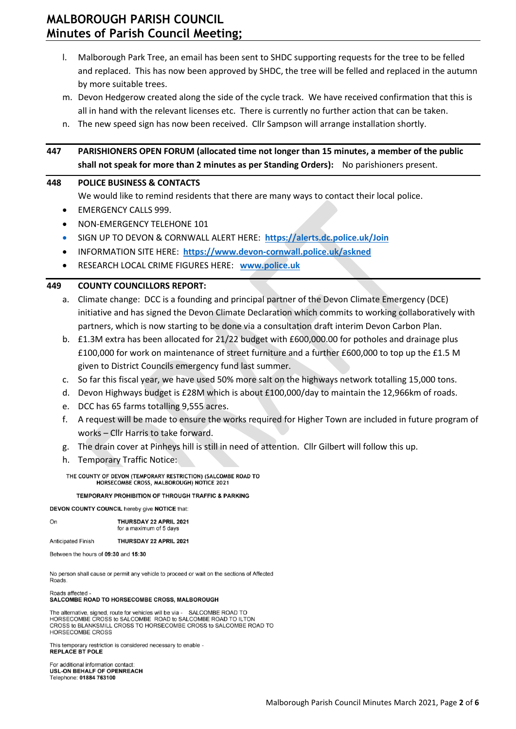# **MALBOROUGH PARISH COUNCIL Minutes of Parish Council Meeting;**

- l. Malborough Park Tree, an email has been sent to SHDC supporting requests for the tree to be felled and replaced. This has now been approved by SHDC, the tree will be felled and replaced in the autumn by more suitable trees.
- m. Devon Hedgerow created along the side of the cycle track. We have received confirmation that this is all in hand with the relevant licenses etc. There is currently no further action that can be taken.
- n. The new speed sign has now been received. Cllr Sampson will arrange installation shortly.

| 447                                                                                                                                                                                                                                       | PARISHIONERS OPEN FORUM (allocated time not longer than 15 minutes, a member of the public<br>shall not speak for more than 2 minutes as per Standing Orders): No parishioners present. |  |  |  |  |  |  |
|-------------------------------------------------------------------------------------------------------------------------------------------------------------------------------------------------------------------------------------------|-----------------------------------------------------------------------------------------------------------------------------------------------------------------------------------------|--|--|--|--|--|--|
| 448                                                                                                                                                                                                                                       | <b>POLICE BUSINESS &amp; CONTACTS</b>                                                                                                                                                   |  |  |  |  |  |  |
|                                                                                                                                                                                                                                           | We would like to remind residents that there are many ways to contact their local police.                                                                                               |  |  |  |  |  |  |
| $\bullet$                                                                                                                                                                                                                                 | <b>EMERGENCY CALLS 999.</b>                                                                                                                                                             |  |  |  |  |  |  |
| $\bullet$                                                                                                                                                                                                                                 | NON-EMERGENCY TELEHONE 101                                                                                                                                                              |  |  |  |  |  |  |
| $\bullet$                                                                                                                                                                                                                                 | SIGN UP TO DEVON & CORNWALL ALERT HERE: https://alerts.dc.police.uk/Join                                                                                                                |  |  |  |  |  |  |
| $\bullet$                                                                                                                                                                                                                                 | INFORMATION SITE HERE: https://www.devon-cornwall.police.uk/askned                                                                                                                      |  |  |  |  |  |  |
| $\bullet$                                                                                                                                                                                                                                 | RESEARCH LOCAL CRIME FIGURES HERE: www.police.uk                                                                                                                                        |  |  |  |  |  |  |
| 449                                                                                                                                                                                                                                       | <b>COUNTY COUNCILLORS REPORT:</b>                                                                                                                                                       |  |  |  |  |  |  |
| a.                                                                                                                                                                                                                                        | Climate change: DCC is a founding and principal partner of the Devon Climate Emergency (DCE)                                                                                            |  |  |  |  |  |  |
|                                                                                                                                                                                                                                           | initiative and has signed the Devon Climate Declaration which commits to working collaboratively with                                                                                   |  |  |  |  |  |  |
|                                                                                                                                                                                                                                           | partners, which is now starting to be done via a consultation draft interim Devon Carbon Plan.                                                                                          |  |  |  |  |  |  |
|                                                                                                                                                                                                                                           | b. £1.3M extra has been allocated for 21/22 budget with £600,000.00 for potholes and drainage plus                                                                                      |  |  |  |  |  |  |
|                                                                                                                                                                                                                                           | £100,000 for work on maintenance of street furniture and a further £600,000 to top up the £1.5 M                                                                                        |  |  |  |  |  |  |
|                                                                                                                                                                                                                                           | given to District Councils emergency fund last summer.                                                                                                                                  |  |  |  |  |  |  |
| c.                                                                                                                                                                                                                                        | So far this fiscal year, we have used 50% more salt on the highways network totalling 15,000 tons.                                                                                      |  |  |  |  |  |  |
| d.                                                                                                                                                                                                                                        | Devon Highways budget is £28M which is about £100,000/day to maintain the 12,966km of roads.                                                                                            |  |  |  |  |  |  |
| e.                                                                                                                                                                                                                                        | DCC has 65 farms totalling 9,555 acres.                                                                                                                                                 |  |  |  |  |  |  |
| f.                                                                                                                                                                                                                                        | A request will be made to ensure the works required for Higher Town are included in future program of                                                                                   |  |  |  |  |  |  |
|                                                                                                                                                                                                                                           | works - Cllr Harris to take forward.                                                                                                                                                    |  |  |  |  |  |  |
| g.                                                                                                                                                                                                                                        | The drain cover at Pinheys hill is still in need of attention. Cllr Gilbert will follow this up.                                                                                        |  |  |  |  |  |  |
| h.                                                                                                                                                                                                                                        | <b>Temporary Traffic Notice:</b>                                                                                                                                                        |  |  |  |  |  |  |
|                                                                                                                                                                                                                                           | THE COUNTY OF DEVON (TEMPORARY RESTRICTION) (SALCOMBE ROAD TO<br>HORSECOMBE CROSS, MALBOROUGH) NOTICE 2021                                                                              |  |  |  |  |  |  |
|                                                                                                                                                                                                                                           | <b>TEMPORARY PROHIBITION OF THROUGH TRAFFIC &amp; PARKING</b>                                                                                                                           |  |  |  |  |  |  |
| <b>DEVON COUNTY COUNCIL hereby give NOTICE that:</b>                                                                                                                                                                                      |                                                                                                                                                                                         |  |  |  |  |  |  |
| On                                                                                                                                                                                                                                        | THURSDAY 22 APRIL 2021<br>for a maximum of 5 days                                                                                                                                       |  |  |  |  |  |  |
|                                                                                                                                                                                                                                           | <b>Anticipated Finish</b><br><b>THURSDAY 22 APRIL 2021</b>                                                                                                                              |  |  |  |  |  |  |
| Between the hours of 09:30 and 15:30                                                                                                                                                                                                      |                                                                                                                                                                                         |  |  |  |  |  |  |
| No person shall cause or permit any vehicle to proceed or wait on the sections of Affected<br>Roads.                                                                                                                                      |                                                                                                                                                                                         |  |  |  |  |  |  |
|                                                                                                                                                                                                                                           | Roads affected -<br><b>SALCOMBE ROAD TO HORSECOMBE CROSS, MALBOROUGH</b>                                                                                                                |  |  |  |  |  |  |
| The alternative, signed, route for vehicles will be via - SALCOMBE ROAD TO<br>HORSECOMBE CROSS to SALCOMBE ROAD to SALCOMBE ROAD TO ILTON<br>CROSS to BLANKSMILL CROSS TO HORSECOMBE CROSS to SALCOMBE ROAD TO<br><b>HORSECOMBE CROSS</b> |                                                                                                                                                                                         |  |  |  |  |  |  |
|                                                                                                                                                                                                                                           | This temporary restriction is considered necessary to enable -<br><b>REPLACE BT POLE</b>                                                                                                |  |  |  |  |  |  |
|                                                                                                                                                                                                                                           | For additional information contact:<br><b>USL-ON BEHALF OF OPENREACH</b><br>Telephone: 01884 763100                                                                                     |  |  |  |  |  |  |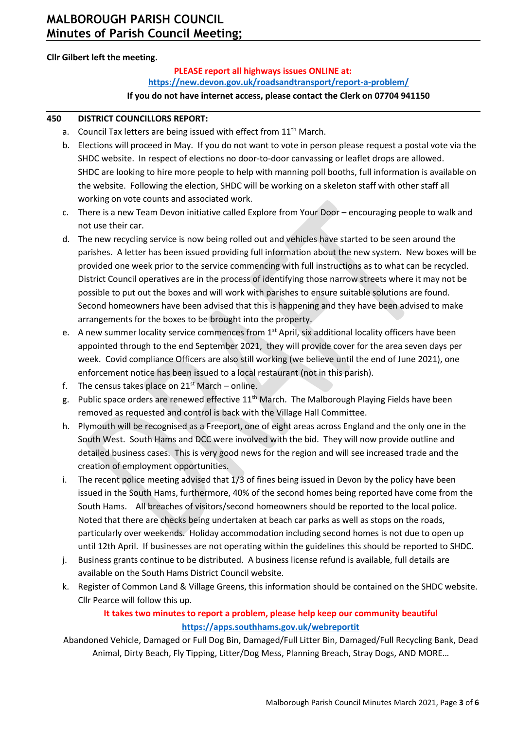## **Cllr Gilbert left the meeting.**

## **PLEASE report all highways issues ONLINE at: <https://new.devon.gov.uk/roadsandtransport/report-a-problem/>**

#### **If you do not have internet access, please contact the Clerk on 07704 941150**

#### **450 DISTRICT COUNCILLORS REPORT:**

- a. Council Tax letters are being issued with effect from 11<sup>th</sup> March.
- b. Elections will proceed in May. If you do not want to vote in person please request a postal vote via the SHDC website. In respect of elections no door-to-door canvassing or leaflet drops are allowed. SHDC are looking to hire more people to help with manning poll booths, full information is available on the website. Following the election, SHDC will be working on a skeleton staff with other staff all working on vote counts and associated work.
- c. There is a new Team Devon initiative called Explore from Your Door encouraging people to walk and not use their car.
- d. The new recycling service is now being rolled out and vehicles have started to be seen around the parishes. A letter has been issued providing full information about the new system. New boxes will be provided one week prior to the service commencing with full instructions as to what can be recycled. District Council operatives are in the process of identifying those narrow streets where it may not be possible to put out the boxes and will work with parishes to ensure suitable solutions are found. Second homeowners have been advised that this is happening and they have been advised to make arrangements for the boxes to be brought into the property.
- e. A new summer locality service commences from 1<sup>st</sup> April, six additional locality officers have been appointed through to the end September 2021, they will provide cover for the area seven days per week. Covid compliance Officers are also still working (we believe until the end of June 2021), one enforcement notice has been issued to a local restaurant (not in this parish).
- f. The census takes place on  $21^{st}$  March online.
- g. Public space orders are renewed effective 11<sup>th</sup> March. The Malborough Playing Fields have been removed as requested and control is back with the Village Hall Committee.
- h. Plymouth will be recognised as a Freeport, one of eight areas across England and the only one in the South West. South Hams and DCC were involved with the bid. They will now provide outline and detailed business cases. This is very good news for the region and will see increased trade and the creation of employment opportunities.
- i. The recent police meeting advised that 1/3 of fines being issued in Devon by the policy have been issued in the South Hams, furthermore, 40% of the second homes being reported have come from the South Hams. All breaches of visitors/second homeowners should be reported to the local police. Noted that there are checks being undertaken at beach car parks as well as stops on the roads, particularly over weekends. Holiday accommodation including second homes is not due to open up until 12th April. If businesses are not operating within the guidelines this should be reported to SHDC.
- j. Business grants continue to be distributed. A business license refund is available, full details are available on the South Hams District Council website.
- k. Register of Common Land & Village Greens, this information should be contained on the SHDC website. Cllr Pearce will follow this up.

## **It takes two minutes to report a problem, please help keep our community beautiful <https://apps.southhams.gov.uk/webreportit>**

Abandoned Vehicle, Damaged or Full Dog Bin, Damaged/Full Litter Bin, Damaged/Full Recycling Bank, Dead Animal, Dirty Beach, Fly Tipping, Litter/Dog Mess, Planning Breach, Stray Dogs, AND MORE…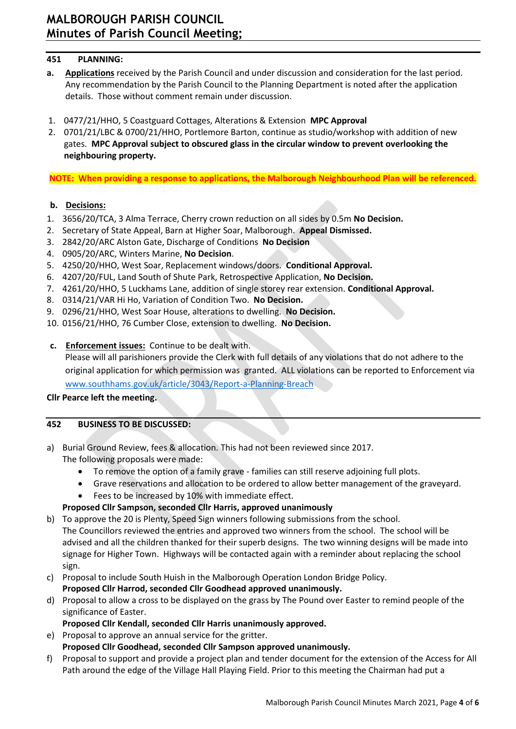## **451 PLANNING:**

- **a. Applications** received by the Parish Council and under discussion and consideration for the last period. Any recommendation by the Parish Council to the Planning Department is noted after the application details. Those without comment remain under discussion.
- 1. 0477/21/HHO, 5 Coastguard Cottages, Alterations & Extension **MPC Approval**
- 2. 0701/21/LBC & 0700/21/HHO, Portlemore Barton, continue as studio/workshop with addition of new gates. **MPC Approval subject to obscured glass in the circular window to prevent overlooking the neighbouring property.**

**NOTE: When providing a response to applications, the Malborough Neighbourhood Plan will be referenced.**

## **b. Decisions:**

- 1. 3656/20/TCA, 3 Alma Terrace, Cherry crown reduction on all sides by 0.5m **No Decision.**
- 2. Secretary of State Appeal, Barn at Higher Soar, Malborough. **Appeal Dismissed.**
- 3. 2842/20/ARC Alston Gate, Discharge of Conditions **No Decision**
- 4. 0905/20/ARC, Winters Marine, **No Decision**.
- 5. 4250/20/HHO, West Soar, Replacement windows/doors. **Conditional Approval.**
- 6. 4207/20/FUL, Land South of Shute Park, Retrospective Application, **No Decision.**
- 7. 4261/20/HHO, 5 Luckhams Lane, addition of single storey rear extension. **Conditional Approval.**
- 8. 0314/21/VAR Hi Ho, Variation of Condition Two. **No Decision.**
- 9. 0296/21/HHO, West Soar House, alterations to dwelling. **No Decision.**
- 10. 0156/21/HHO, 76 Cumber Close, extension to dwelling. **No Decision.**
- **c. Enforcement issues:** Continue to be dealt with.

Please will all parishioners provide the Clerk with full details of any violations that do not adhere to the original application for which permission was granted. ALL violations can be reported to Enforcement via [www.southhams.gov.uk/article/3043/Report-a-Planning-Breach](http://www.southhams.gov.uk/article/3043/Report-a-Planning-Breach)

## **Cllr Pearce left the meeting.**

## **452 BUSINESS TO BE DISCUSSED:**

- a) Burial Ground Review, fees & allocation. This had not been reviewed since 2017.
	- The following proposals were made:
		- To remove the option of a family grave families can still reserve adjoining full plots.
		- Grave reservations and allocation to be ordered to allow better management of the graveyard.
		- Fees to be increased by 10% with immediate effect.

## **Proposed Cllr Sampson, seconded Cllr Harris, approved unanimously**

- b) To approve the 20 is Plenty, Speed Sign winners following submissions from the school. The Councillors reviewed the entries and approved two winners from the school. The school will be advised and all the children thanked for their superb designs. The two winning designs will be made into signage for Higher Town. Highways will be contacted again with a reminder about replacing the school sign.
- c) Proposal to include South Huish in the Malborough Operation London Bridge Policy. **Proposed Cllr Harrod, seconded Cllr Goodhead approved unanimously.**
- d) Proposal to allow a cross to be displayed on the grass by The Pound over Easter to remind people of the significance of Easter.
	- **Proposed Cllr Kendall, seconded Cllr Harris unanimously approved.**
- e) Proposal to approve an annual service for the gritter.
- **Proposed Cllr Goodhead, seconded Cllr Sampson approved unanimously.**
- f) Proposal to support and provide a project plan and tender document for the extension of the Access for All Path around the edge of the Village Hall Playing Field. Prior to this meeting the Chairman had put a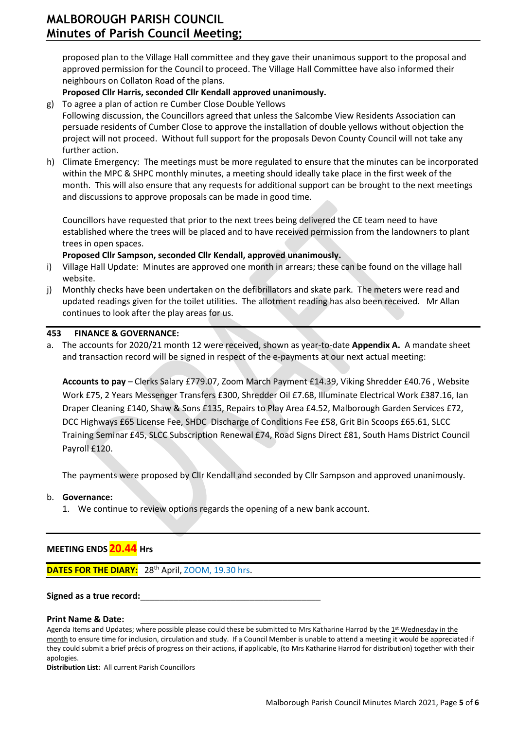proposed plan to the Village Hall committee and they gave their unanimous support to the proposal and approved permission for the Council to proceed. The Village Hall Committee have also informed their neighbours on Collaton Road of the plans.

### **Proposed Cllr Harris, seconded Cllr Kendall approved unanimously.**

g) To agree a plan of action re Cumber Close Double Yellows

Following discussion, the Councillors agreed that unless the Salcombe View Residents Association can persuade residents of Cumber Close to approve the installation of double yellows without objection the project will not proceed. Without full support for the proposals Devon County Council will not take any further action.

h) Climate Emergency: The meetings must be more regulated to ensure that the minutes can be incorporated within the MPC & SHPC monthly minutes, a meeting should ideally take place in the first week of the month. This will also ensure that any requests for additional support can be brought to the next meetings and discussions to approve proposals can be made in good time.

Councillors have requested that prior to the next trees being delivered the CE team need to have established where the trees will be placed and to have received permission from the landowners to plant trees in open spaces.

### **Proposed Cllr Sampson, seconded Cllr Kendall, approved unanimously.**

- i) Village Hall Update: Minutes are approved one month in arrears; these can be found on the village hall website.
- j) Monthly checks have been undertaken on the defibrillators and skate park. The meters were read and updated readings given for the toilet utilities. The allotment reading has also been received. Mr Allan continues to look after the play areas for us.

#### **453 FINANCE & GOVERNANCE:**

a. The accounts for 2020/21 month 12 were received, shown as year-to-date **Appendix A.** A mandate sheet and transaction record will be signed in respect of the e-payments at our next actual meeting:

**Accounts to pay** – Clerks Salary £779.07, Zoom March Payment £14.39, Viking Shredder £40.76 , Website Work £75, 2 Years Messenger Transfers £300, Shredder Oil £7.68, Illuminate Electrical Work £387.16, Ian Draper Cleaning £140, Shaw & Sons £135, Repairs to Play Area £4.52, Malborough Garden Services £72, DCC Highways £65 License Fee, SHDC Discharge of Conditions Fee £58, Grit Bin Scoops £65.61, SLCC Training Seminar £45, SLCC Subscription Renewal £74, Road Signs Direct £81, South Hams District Council Payroll £120.

The payments were proposed by Cllr Kendall and seconded by Cllr Sampson and approved unanimously.

#### b. **Governance:**

l

1. We continue to review options regards the opening of a new bank account.

## **MEETING ENDS 20.44 Hrs**

**DATES FOR THE DIARY:** 28<sup>th</sup> April, ZOOM, 19.30 hrs.

#### Signed as a true record:

#### **Print Name & Date:**

Agenda Items and Updates; where possible please could these be submitted to Mrs Katharine Harrod by the 1st Wednesday in the month to ensure time for inclusion, circulation and study. If a Council Member is unable to attend a meeting it would be appreciated if they could submit a brief précis of progress on their actions, if applicable, (to Mrs Katharine Harrod for distribution) together with their apologies.

**Distribution List:** All current Parish Councillors